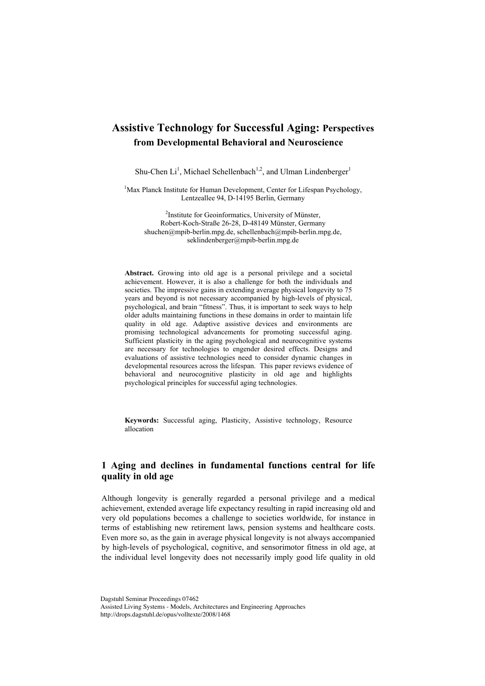# **Assistive Technology for Successful Aging: Perspectives from Developmental Behavioral and Neuroscience**

Shu-Chen  $Li<sup>1</sup>$ , Michael Schellenbach<sup>1,2</sup>, and Ulman Lindenberger<sup>1</sup>

<sup>1</sup>Max Planck Institute for Human Development, Center for Lifespan Psychology, Lentzeallee 94, D-14195 Berlin, Germany

<sup>2</sup>Institute for Geoinformatics, University of Münster, Robert-Koch-Straße 26-28, D-48149 Münster, Germany [shuchen@mpib-berlin.mpg.de,](mailto:shuchen@mpib-berlin.mpg.de) schellenbach@mpib-berlin.mpg.de, [seklindenberger@mpib-berlin.mpg.de](mailto:seklindenberger@mpib-berlin.mpg.de)

**Abstract.** Growing into old age is a personal privilege and a societal achievement. However, it is also a challenge for both the individuals and societies. The impressive gains in extending average physical longevity to 75 years and beyond is not necessary accompanied by high-levels of physical, psychological, and brain "fitness". Thus, it is important to seek ways to help older adults maintaining functions in these domains in order to maintain life quality in old age. Adaptive assistive devices and environments are promising technological advancements for promoting successful aging. Sufficient plasticity in the aging psychological and neurocognitive systems are necessary for technologies to engender desired effects. Designs and evaluations of assistive technologies need to consider dynamic changes in developmental resources across the lifespan. This paper reviews evidence of behavioral and neurocognitive plasticity in old age and highlights psychological principles for successful aging technologies.

**Keywords:** Successful aging, Plasticity, Assistive technology, Resource allocation

# **1 Aging and declines in fundamental functions central for life quality in old age**

Although longevity is generally regarded a personal privilege and a medical achievement, extended average life expectancy resulting in rapid increasing old and very old populations becomes a challenge to societies worldwide, for instance in terms of establishing new retirement laws, pension systems and healthcare costs. Even more so, as the gain in average physical longevity is not always accompanied by high-levels of psychological, cognitive, and sensorimotor fitness in old age, at the individual level longevity does not necessarily imply good life quality in old

Dagstuhl Seminar Proceedings 07462 Assisted Living Systems - Models, Architectures and Engineering Approaches http://drops.dagstuhl.de/opus/volltexte/2008/1468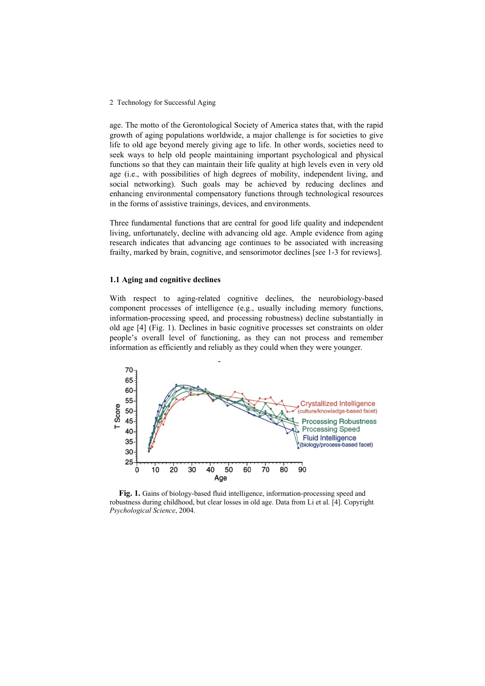age. The motto of the Gerontological Society of America states that, with the rapid growth of aging populations worldwide, a major challenge is for societies to give life to old age beyond merely giving age to life. In other words, societies need to seek ways to help old people maintaining important psychological and physical functions so that they can maintain their life quality at high levels even in very old age (i.e., with possibilities of high degrees of mobility, independent living, and social networking). Such goals may be achieved by reducing declines and enhancing environmental compensatory functions through technological resources in the forms of assistive trainings, devices, and environments.

Three fundamental functions that are central for good life quality and independent living, unfortunately, decline with advancing old age. Ample evidence from aging research indicates that advancing age continues to be associated with increasing frailty, marked by brain, cognitive, and sensorimotor declines [see 1-3 for reviews].

### **1.1 Aging and cognitive declines**

With respect to aging-related cognitive declines, the neurobiology-based component processes of intelligence (e.g., usually including memory functions, information-processing speed, and processing robustness) decline substantially in old age [4] (Fig. 1). Declines in basic cognitive processes set constraints on older people's overall level of functioning, as they can not process and remember information as efficiently and reliably as they could when they were younger.



**Fig. 1.** Gains of biology-based fluid intelligence, information-processing speed and robustness during childhood, but clear losses in old age. Data from Li et al. [4]. Copyright *Psychological Science*, 2004.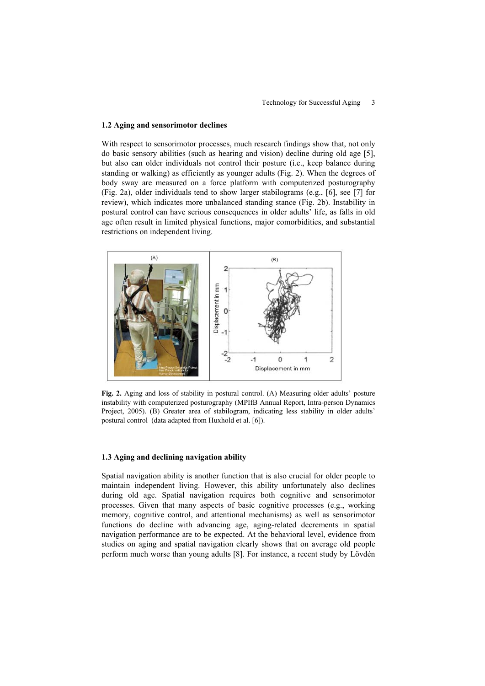#### **1.2 Aging and sensorimotor declines**

With respect to sensorimotor processes, much research findings show that, not only do basic sensory abilities (such as hearing and vision) decline during old age [5], but also can older individuals not control their posture (i.e., keep balance during standing or walking) as efficiently as younger adults (Fig. 2). When the degrees of body sway are measured on a force platform with computerized posturography (Fig. 2a), older individuals tend to show larger stabilograms (e.g., [6], see [7] for review), which indicates more unbalanced standing stance (Fig. 2b). Instability in postural control can have serious consequences in older adults' life, as falls in old age often result in limited physical functions, major comorbidities, and substantial restrictions on independent living.



**Fig. 2.** Aging and loss of stability in postural control. (A) Measuring older adults' posture instability with computerized posturography (MPIfB Annual Report, Intra-person Dynamics Project, 2005). (B) Greater area of stabilogram, indicating less stability in older adults' postural control (data adapted from Huxhold et al. [6]).

#### **1.3 Aging and declining navigation ability**

Spatial navigation ability is another function that is also crucial for older people to maintain independent living. However, this ability unfortunately also declines during old age. Spatial navigation requires both cognitive and sensorimotor processes. Given that many aspects of basic cognitive processes (e.g., working memory, cognitive control, and attentional mechanisms) as well as sensorimotor functions do decline with advancing age, aging-related decrements in spatial navigation performance are to be expected. At the behavioral level, evidence from studies on aging and spatial navigation clearly shows that on average old people perform much worse than young adults [8]. For instance, a recent study by Lövdén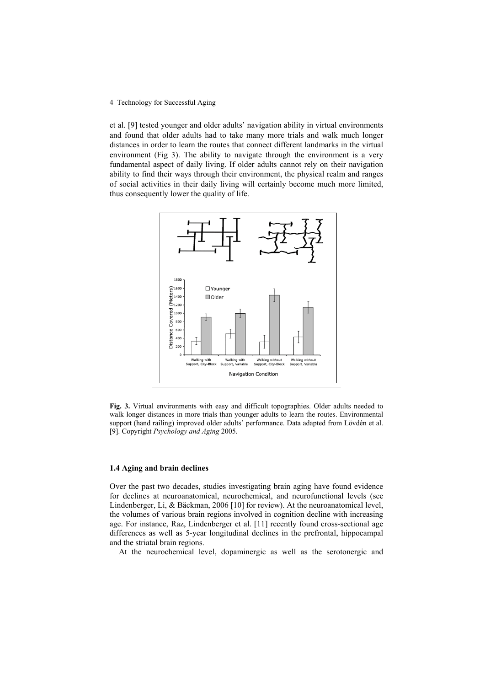et al. [9] tested younger and older adults' navigation ability in virtual environments and found that older adults had to take many more trials and walk much longer distances in order to learn the routes that connect different landmarks in the virtual environment (Fig 3). The ability to navigate through the environment is a very fundamental aspect of daily living. If older adults cannot rely on their navigation ability to find their ways through their environment, the physical realm and ranges of social activities in their daily living will certainly become much more limited, thus consequently lower the quality of life.



**Fig. 3.** Virtual environments with easy and difficult topographies. Older adults needed to walk longer distances in more trials than younger adults to learn the routes. Environmental support (hand railing) improved older adults' performance. Data adapted from Lövdén et al. [9]. Copyright *Psychology and Aging* 2005.

#### **1.4 Aging and brain declines**

Over the past two decades, studies investigating brain aging have found evidence for declines at neuroanatomical, neurochemical, and neurofunctional levels (see Lindenberger, Li, & Bäckman, 2006 [10] for review). At the neuroanatomical level, the volumes of various brain regions involved in cognition decline with increasing age. For instance, Raz, Lindenberger et al. [11] recently found cross-sectional age differences as well as 5-year longitudinal declines in the prefrontal, hippocampal and the striatal brain regions.

At the neurochemical level, dopaminergic as well as the serotonergic and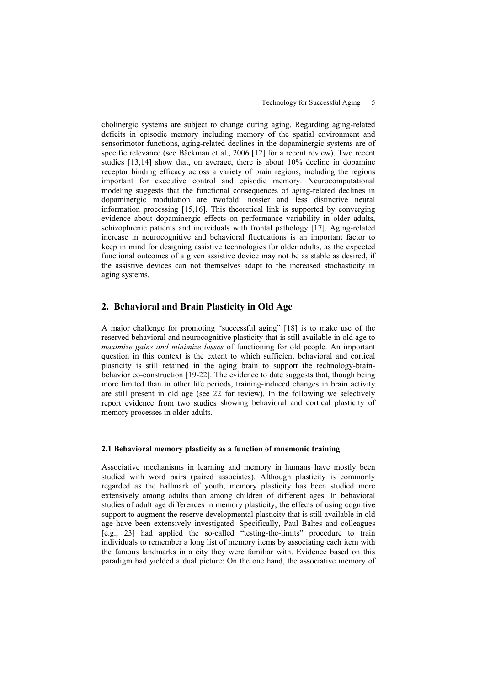cholinergic systems are subject to change during aging. Regarding aging-related deficits in episodic memory including memory of the spatial environment and sensorimotor functions, aging-related declines in the dopaminergic systems are of specific relevance (see Bäckman et al., 2006 [12] for a recent review). Two recent studies [13,14] show that, on average, there is about 10% decline in dopamine receptor binding efficacy across a variety of brain regions, including the regions important for executive control and episodic memory. Neurocomputational modeling suggests that the functional consequences of aging-related declines in dopaminergic modulation are twofold: noisier and less distinctive neural information processing [15,16]. This theoretical link is supported by converging evidence about dopaminergic effects on performance variability in older adults, schizophrenic patients and individuals with frontal pathology [17]. Aging-related increase in neurocognitive and behavioral fluctuations is an important factor to keep in mind for designing assistive technologies for older adults, as the expected functional outcomes of a given assistive device may not be as stable as desired, if the assistive devices can not themselves adapt to the increased stochasticity in aging systems.

# **2. Behavioral and Brain Plasticity in Old Age**

report evidence from two studies showing behavioral and cortical plasticity of memory processes in older adults. A major challenge for promoting "successful aging" [18] is to make use of the reserved behavioral and neurocognitive plasticity that is still available in old age to *maximize gains and minimize losses* of functioning for old people. An important question in this context is the extent to which sufficient behavioral and cortical plasticity is still retained in the aging brain to support the technology-brainbehavior co-construction [19-22]. The evidence to date suggests that, though being more limited than in other life periods, training-induced changes in brain activity are still present in old age (see 22 for review). In the following we selectively

#### **2.1 Behavioral memory plasticity as a function of mnemonic training**

Associative mechanisms in learning and memory in humans have mostly been studied with word pairs (paired associates). Although plasticity is commonly regarded as the hallmark of youth, memory plasticity has been studied more extensively among adults than among children of different ages. In behavioral studies of adult age differences in memory plasticity, the effects of using cognitive support to augment the reserve developmental plasticity that is still available in old age have been extensively investigated. Specifically, Paul Baltes and colleagues [e.g., 23] had applied the so-called "testing-the-limits" procedure to train individuals to remember a long list of memory items by associating each item with the famous landmarks in a city they were familiar with. Evidence based on this paradigm had yielded a dual picture: On the one hand, the associative memory of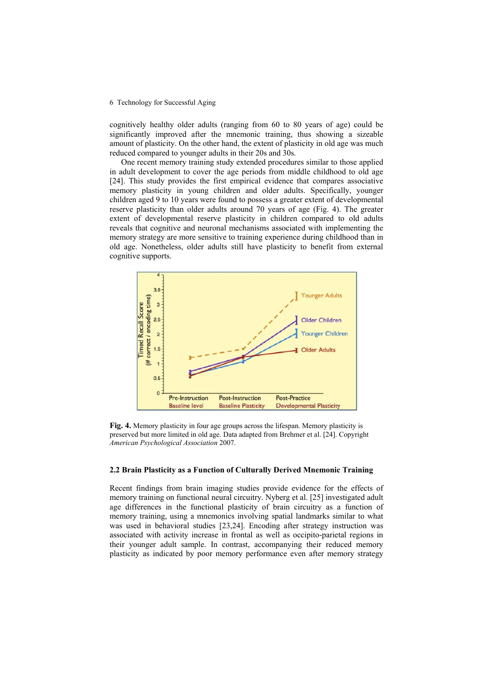cognitively healthy older adults (ranging from 60 to 80 years of age) could be significantly improved after the mnemonic training, thus showing a sizeable amount of plasticity. On the other hand, the extent of plasticity in old age was much red uced compared to younger adults in their 20s and 30s.

old age. Nonetheless, older adults still have plasticity to benefit from external cognitive supports. One recent memory training study extended procedures similar to those applied in adult development to cover the age periods from middle childhood to old age [24]. This study provides the first empirical evidence that compares associative memory plasticity in young children and older adults. Specifically, younger children aged 9 to 10 years were found to possess a greater extent of developmental reserve plasticity than older adults around 70 years of age (Fig. 4). The greater extent of developmental reserve plasticity in children compared to old adults reveals that cognitive and neuronal mechanisms associated with implementing the memory strategy are more sensitive to training experience during childhood than in



**Fig. 4.** Memory plasticity in four age groups across the lifespan. Memory plasticity is preserved but more limited in old age. Data adapted from Brehmer et al. [24]. Copyright *American Psychological Association* 2007.

### **2.2 Brain Plasticity as a Function of Culturally Derived Mnemonic Training**

Recent findings from brain imaging studies provide evidence for the effects of memory training on functional neural circuitry. Nyberg et al. [25] investigated adult age differences in the functional plasticity of brain circuitry as a function of memory training, using a mnemonics involving spatial landmarks similar to what was used in behavioral studies [23,24]. Encoding after strategy instruction was associated with activity increase in frontal as well as occipito-parietal regions in their younger adult sample. In contrast, accompanying their reduced memory plasticity as indicated by poor memory performance even after memory strategy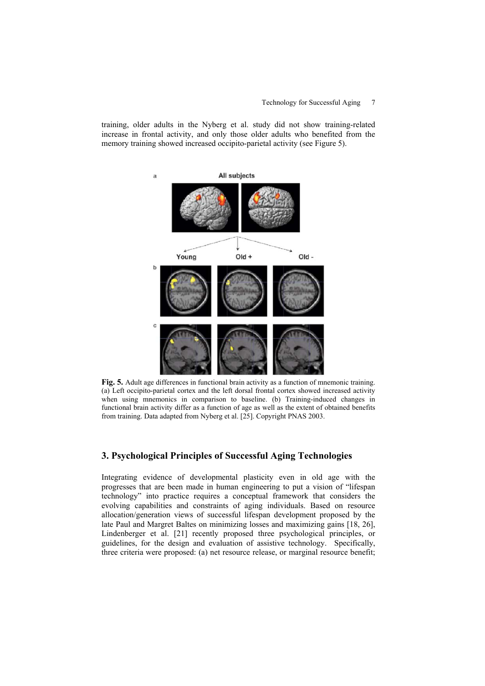training, older adults in the Nyberg et al. study did not show training-related increase in frontal activity, and only those older adults who benefited from the memory training showed increased occipito-parietal activity (see Figure 5).



**Fig. 5.** Adult age differences in functional brain activity as a function of mnemonic training. (a) Left occipito-parietal cortex and the left dorsal frontal cortex showed increased activity when using mnemonics in comparison to baseline. (b) Training-induced changes in functional brain activity differ as a function of age as well as the extent of obtained benefits from training. Data adapted from Nyberg et al. [25]. Copyright PNAS 2003.

# **3. Psychological Principles of Successful Aging Technologies**

three criteria were proposed: (a) net resource release, or marginal resource benefit; Integrating evidence of developmental plasticity even in old age with the progresses that are been made in human engineering to put a vision of "lifespan technology" into practice requires a conceptual framework that considers the evolving capabilities and constraints of aging individuals. Based on resource allocation/generation views of successful lifespan development proposed by the late Paul and Margret Baltes on minimizing losses and maximizing gains [18, 26], Lindenberger et al. [21] recently proposed three psychological principles, or guidelines, for the design and evaluation of assistive technology. Specifically,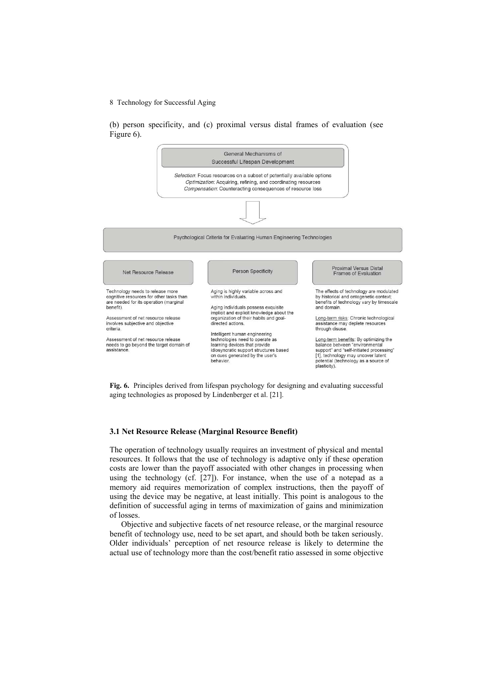(b) person specificity, and (c) proximal versus distal frames of evaluation (see Figure 6).



**Fig. 6.** Principles derived from lifespan psychology for designing and evaluating successful aging technologies as proposed by Lindenberger et al. [21].

### **3.1 Net Resource Release (Marginal Resource Benefit)**

The operation of technology usually requires an investment of physical and mental resources. It follows that the use of technology is adaptive only if these operation costs are lower than the payoff associated with other changes in processing when using the technology (cf. [27]). For instance, when the use of a notepad as a memory aid requires memorization of complex instructions, then the payoff of using the device may be negative, at least initially. This point is analogous to the definition of successful aging in terms of maximization of gains and minimization of losses.

Objective and subjective facets of net resource release, or the marginal resource benefit of technology use, need to be set apart, and should both be taken seriously. Older individuals' perception of net resource release is likely to determine the actual use of technology more than the cost/benefit ratio assessed in some objective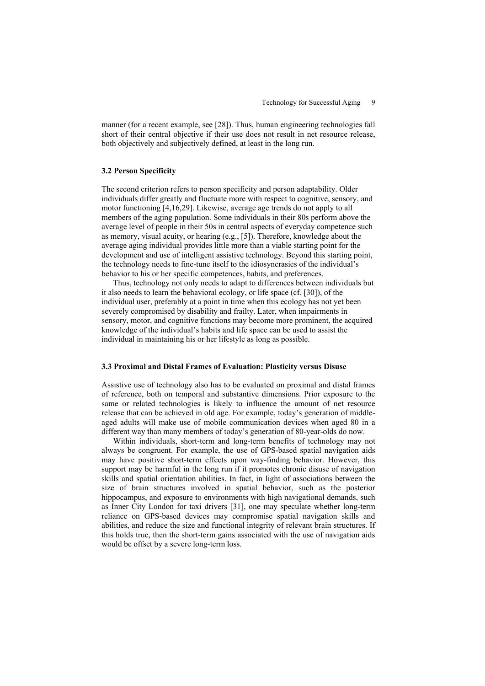manner (for a recent example, see [28]). Thus, human engineering technologies fall short of their central objective if their use does not result in net resource release, both objectively and subjectively defined, at least in the long run.

#### **3.2 Person Specificity**

The second criterion refers to person specificity and person adaptability. Older individuals differ greatly and fluctuate more with respect to cognitive, sensory, and motor functioning [4,16,29]. Likewise, average age trends do not apply to all members of the aging population. Some individuals in their 80s perform above the average level of people in their 50s in central aspects of everyday competence such as memory, visual acuity, or hearing (e.g., [5]). Therefore, knowledge about the average aging individual provides little more than a viable starting point for the development and use of intelligent assistive technology. Beyond this starting point, the technology needs to fine-tune itself to the idiosyncrasies of the individual's behavior to his or her specific competences, habits, and preferences.

Thus, technology not only needs to adapt to differences between individuals but it also needs to learn the behavioral ecology, or life space (cf. [30]), of the individual user, preferably at a point in time when this ecology has not yet been severely compromised by disability and frailty. Later, when impairments in sensory, motor, and cognitive functions may become more prominent, the acquired knowledge of the individual's habits and life space can be used to assist the individual in maintaining his or her lifestyle as long as possible.

## **3.3 Proximal and Distal Frames of Evaluation: Plasticity versus Disuse**

Assistive use of technology also has to be evaluated on proximal and distal frames of reference, both on temporal and substantive dimensions. Prior exposure to the same or related technologies is likely to influence the amount of net resource release that can be achieved in old age. For example, today's generation of middleaged adults will make use of mobile communication devices when aged 80 in a different way than many members of today's generation of 80-year-olds do now.

Within individuals, short-term and long-term benefits of technology may not always be congruent. For example, the use of GPS-based spatial navigation aids may have positive short-term effects upon way-finding behavior. However, this support may be harmful in the long run if it promotes chronic disuse of navigation skills and spatial orientation abilities. In fact, in light of associations between the size of brain structures involved in spatial behavior, such as the posterior hippocampus, and exposure to environments with high navigational demands, such as Inner City London for taxi drivers [31], one may speculate whether long-term reliance on GPS-based devices may compromise spatial navigation skills and abilities, and reduce the size and functional integrity of relevant brain structures. If this holds true, then the short-term gains associated with the use of navigation aids would be offset by a severe long-term loss.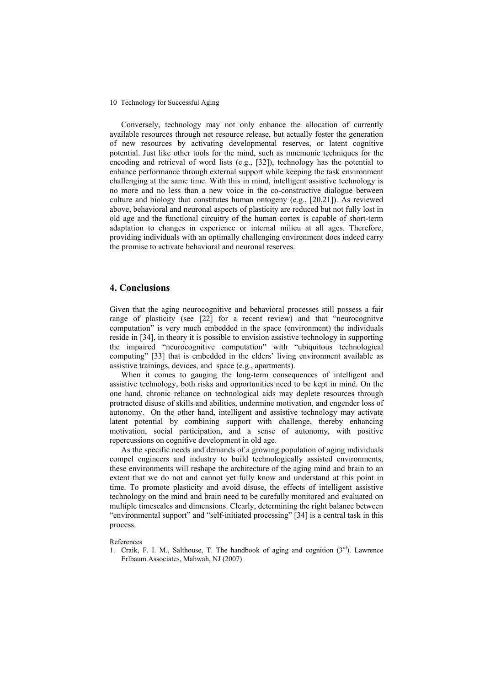Conversely, technology may not only enhance the allocation of currently available resources through net resource release, but actually foster the generation of new resources by activating developmental reserves, or latent cognitive potential. Just like other tools for the mind, such as mnemonic techniques for the encoding and retrieval of word lists (e.g., [32]), technology has the potential to enhance performance through external support while keeping the task environment challenging at the same time. With this in mind, intelligent assistive technology is no more and no less than a new voice in the co-constructive dialogue between culture and biology that constitutes human ontogeny (e.g., [20,21]). As reviewed above, behavioral and neuronal aspects of plasticity are reduced but not fully lost in old age and the functional circuitry of the human cortex is capable of short-term adaptation to changes in experience or internal milieu at all ages. Therefore, providing individuals with an optimally challenging environment does indeed carry the promise to activate behavioral and neuronal reserves.

### **4. Conclusions**

Given that the aging neurocognitive and behavioral processes still possess a fair range of plasticity (see [22] for a recent review) and that "neurocognitve computation" is very much embedded in the space (environment) the individuals reside in [34], in theory it is possible to envision assistive technology in supporting the impaired "neurocognitive computation" with "ubiquitous technological computing" [33] that is embedded in the elders' living environment available as assistive trainings, devices, and space (e.g., apartments).

When it comes to gauging the long-term consequences of intelligent and assistive technology, both risks and opportunities need to be kept in mind. On the one hand, chronic reliance on technological aids may deplete resources through protracted disuse of skills and abilities, undermine motivation, and engender loss of autonomy. On the other hand, intelligent and assistive technology may activate latent potential by combining support with challenge, thereby enhancing motivation, social participation, and a sense of autonomy, with positive repercussions on cognitive development in old age.

As the specific needs and demands of a growing population of aging individuals compel engineers and industry to build technologically assisted environments, these environments will reshape the architecture of the aging mind and brain to an extent that we do not and cannot yet fully know and understand at this point in time. To promote plasticity and avoid disuse, the effects of intelligent assistive technology on the mind and brain need to be carefully monitored and evaluated on multiple timescales and dimensions. Clearly, determining the right balance between "environmental support" and "self-initiated processing" [34] is a central task in this process.

References

1. Craik, F. I. M., Salthouse, T. The handbook of aging and cognition  $(3<sup>rd</sup>)$ . Lawrence Erlbaum Associates, Mahwah, NJ (2007).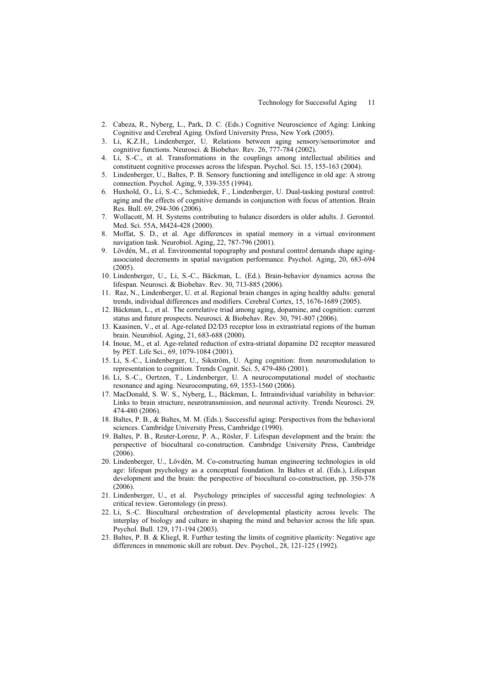- 2. Cabeza, R., Nyberg, L., Park, D. C. (Eds.) Cognitive Neuroscience of Aging: Linking Cognitive and Cerebral Aging*.* Oxford University Press, New York (2005).
- 3. Li, K.Z.H., Lindenberger, U. Relations between aging sensory/sensorimotor and cognitive functions. Neurosci. & Biobehav. Rev. 26, 777-784 (2002).
- 4. Li, S.-C., et al. Transformations in the couplings among intellectual abilities and constituent cognitive processes across the lifespan. Psychol. Sci. 15, 155-163 (2004).
- 5. Lindenberger, U., Baltes, P. B. Sensory functioning and intelligence in old age: A strong connection. Psychol. Aging, 9, 339-355 (1994).
- 6. Huxhold, O., Li, S.-C., Schmiedek, F., Lindenberger, U. Dual-tasking postural control: aging and the effects of cognitive demands in conjunction with focus of attention. Brain Res. Bull. 69, 294-306 (2006).
- 7. Wollacott, M. H. Systems contributing to balance disorders in older adults. J. Gerontol. Med. Sci. 55A, M424-428 (2000).
- 8. Moffat, S. D., et al. Age differences in spatial memory in a virtual environment navigation task. Neurobiol. Aging, 22, 787-796 (2001).
- 9. Lövdén, M., et al. Environmental topography and postural control demands shape agingassociated decrements in spatial navigation performance. Psychol. Aging, 20, 683-694  $(2005)$
- 10. Lindenberger, U., Li, S.-C., Bäckman, L. (Ed.). Brain-behavior dynamics across the lifespan. Neurosci. & Biobehav. Rev. 30, 713-885 (2006).
- 11. Raz, N., Lindenberger, U. et al. Regional brain changes in aging healthy adults: general trends, individual differences and modifiers. Cerebral Cortex, 15, 1676-1689 (2005).
- 12. Bäckman, L., et al. The correlative triad among aging, dopamine, and cognition: current status and future prospects. Neurosci. & Biobehav. Rev. 30, 791-807 (2006).
- 13. Kaasinen, V., et al. Age-related D2/D3 receptor loss in extrastriatal regions of the human brain. Neurobiol. Aging, 21, 683-688 (2000).
- 14. Inoue, M., et al. Age-related reduction of extra-striatal dopamine D2 receptor measured by PET. Life Sci., 69, 1079-1084 (2001).
- 15. Li, S.-C., Lindenberger, U., Sikström, U. Aging cognition: from neuromodulation to representation to cognition. Trends Cognit. Sci. 5, 479-486 (2001).
- 16. Li, S.-C., Oertzen, T., Lindenberger, U. A neurocomputational model of stochastic resonance and aging. Neurocomputing, 69, 1553-1560 (2006).
- 17. MacDonald, S. W. S., Nyberg, L., Bäckman, L. Intraindividual variability in behavior: Links to brain structure, neurotransmission, and neuronal activity. Trends Neurosci. 29*,* 474-480 (2006).
- 18. Baltes, P. B., & Baltes, M. M. (Eds.). Successful aging: Perspectives from the behavioral sciences. Cambridge University Press, Cambridge (1990).
- 19. Baltes, P. B., Reuter-Lorenz, P. A., Rösler, F. Lifespan development and the brain: the perspective of biocultural co-construction. Cambridge University Press, Cambridge  $(2006)$
- 20. Lindenberger, U., Lövdén, M. Co-constructing human engineering technologies in old age: lifespan psychology as a conceptual foundation. In Baltes et al. (Eds.), Lifespan development and the brain: the perspective of biocultural co-construction, pp. 350-378 (2006).
- 21. Lindenberger, U., et al. Psychology principles of successful aging technologies: A critical review. Gerontology (in press).
- 22. Li, S.-C. Biocultural orchestration of developmental plasticity across levels: The interplay of biology and culture in shaping the mind and behavior across the life span. Psychol. Bull. 129, 171-194 (2003).
- 23. Baltes, P. B. & Kliegl, R. Further testing the limits of cognitive plasticity: Negative age differences in mnemonic skill are robust. Dev. Psychol., 28, 121-125 (1992).